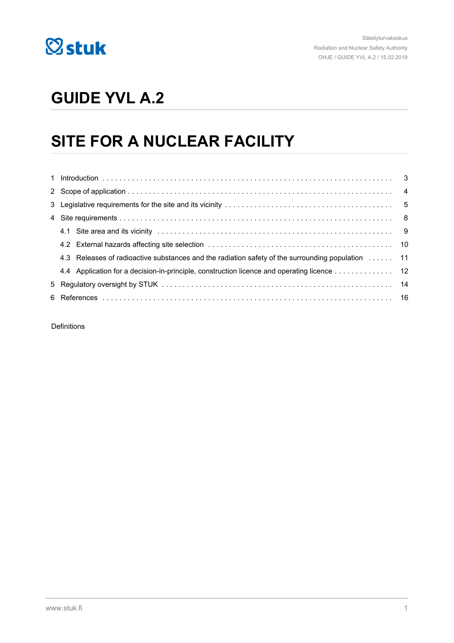

# **GUIDE YVL A.2**

# **SITE FOR A NUCLEAR FACILITY**

| 4.3 Releases of radioactive substances and the radiation safety of the surrounding population  11 |  |
|---------------------------------------------------------------------------------------------------|--|
| 4.4 Application for a decision-in-principle, construction licence and operating licence 12        |  |
|                                                                                                   |  |
|                                                                                                   |  |

Definitions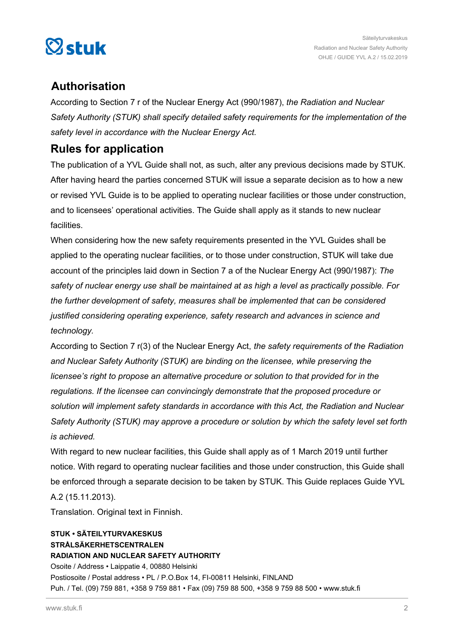

# **Authorisation**

According to Section 7 r of the Nuclear Energy Act (990/1987), *the Radiation and Nuclear Safety Authority (STUK) shall specify detailed safety requirements for the implementation of the safety level in accordance with the Nuclear Energy Act.*

# **Rules for application**

The publication of a YVL Guide shall not, as such, alter any previous decisions made by STUK. After having heard the parties concerned STUK will issue a separate decision as to how a new or revised YVL Guide is to be applied to operating nuclear facilities or those under construction, and to licensees' operational activities. The Guide shall apply as it stands to new nuclear facilities.

When considering how the new safety requirements presented in the YVL Guides shall be applied to the operating nuclear facilities, or to those under construction, STUK will take due account of the principles laid down in Section 7 a of the Nuclear Energy Act (990/1987): *The safety of nuclear energy use shall be maintained at as high a level as practically possible. For the further development of safety, measures shall be implemented that can be considered justified considering operating experience, safety research and advances in science and technology.*

According to Section 7 r(3) of the Nuclear Energy Act, *the safety requirements of the Radiation and Nuclear Safety Authority (STUK) are binding on the licensee, while preserving the licensee's right to propose an alternative procedure or solution to that provided for in the regulations. If the licensee can convincingly demonstrate that the proposed procedure or solution will implement safety standards in accordance with this Act, the Radiation and Nuclear Safety Authority (STUK) may approve a procedure or solution by which the safety level set forth is achieved.*

With regard to new nuclear facilities, this Guide shall apply as of 1 March 2019 until further notice. With regard to operating nuclear facilities and those under construction, this Guide shall be enforced through a separate decision to be taken by STUK. This Guide replaces Guide YVL A.2 (15.11.2013).

Translation. Original text in Finnish.

#### **STUK • SÄTEILYTURVAKESKUS STRÅLSÄKERHETSCENTRALEN RADIATION AND NUCLEAR SAFETY AUTHORITY** Osoite / Address • Laippatie 4, 00880 Helsinki Postiosoite / Postal address • PL / P.O.Box 14, FI-00811 Helsinki, FINLAND Puh. / Tel. (09) 759 881, +358 9 759 881 • Fax (09) 759 88 500, +358 9 759 88 500 • www.stuk.fi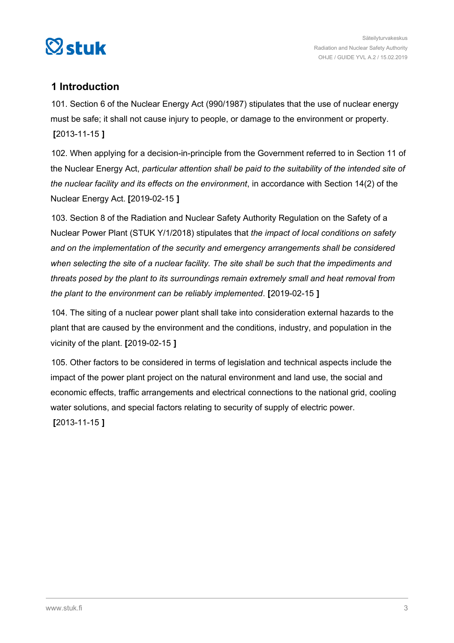<span id="page-2-0"></span>

## **1 Introduction**

101. Section 6 of the Nuclear Energy Act (990/1987) stipulates that the use of nuclear energy must be safe; it shall not cause injury to people, or damage to the environment or property. **[**2013-11-15 **]**

102. When applying for a decision-in-principle from the Government referred to in Section 11 of the Nuclear Energy Act, *particular attention shall be paid to the suitability of the intended site of the nuclear facility and its effects on the environment*, in accordance with Section 14(2) of the Nuclear Energy Act. **[**2019-02-15 **]**

103. Section 8 of the Radiation and Nuclear Safety Authority Regulation on the Safety of a Nuclear Power Plant (STUK Y/1/2018) stipulates that *the impact of local conditions on safety and on the implementation of the security and emergency arrangements shall be considered when selecting the site of a nuclear facility. The site shall be such that the impediments and threats posed by the plant to its surroundings remain extremely small and heat removal from the plant to the environment can be reliably implemented*. **[**2019-02-15 **]**

104. The siting of a nuclear power plant shall take into consideration external hazards to the plant that are caused by the environment and the conditions, industry, and population in the vicinity of the plant. **[**2019-02-15 **]**

105. Other factors to be considered in terms of legislation and technical aspects include the impact of the power plant project on the natural environment and land use, the social and economic effects, traffic arrangements and electrical connections to the national grid, cooling water solutions, and special factors relating to security of supply of electric power. **[**2013-11-15 **]**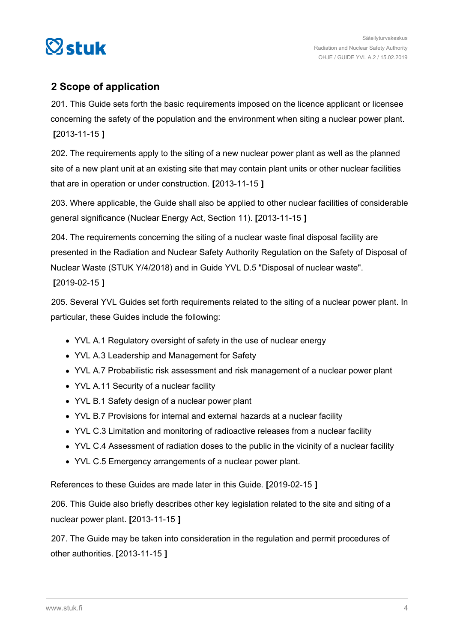<span id="page-3-0"></span>

# **2 Scope of application**

201. This Guide sets forth the basic requirements imposed on the licence applicant or licensee concerning the safety of the population and the environment when siting a nuclear power plant. **[**2013-11-15 **]**

202. The requirements apply to the siting of a new nuclear power plant as well as the planned site of a new plant unit at an existing site that may contain plant units or other nuclear facilities that are in operation or under construction. **[**2013-11-15 **]**

203. Where applicable, the Guide shall also be applied to other nuclear facilities of considerable general significance (Nuclear Energy Act, Section 11). **[**2013-11-15 **]**

204. The requirements concerning the siting of a nuclear waste final disposal facility are presented in the Radiation and Nuclear Safety Authority Regulation on the Safety of Disposal of Nuclear Waste (STUK Y/4/2018) and in Guide YVL D.5 "Disposal of nuclear waste". **[**2019-02-15 **]**

205. Several YVL Guides set forth requirements related to the siting of a nuclear power plant. In particular, these Guides include the following:

- YVL A.1 Regulatory oversight of safety in the use of nuclear energy
- YVL A.3 Leadership and Management for Safety
- YVL A.7 Probabilistic risk assessment and risk management of a nuclear power plant
- YVL A.11 Security of a nuclear facility
- YVL B.1 Safety design of a nuclear power plant
- YVL B.7 Provisions for internal and external hazards at a nuclear facility
- YVL C.3 Limitation and monitoring of radioactive releases from a nuclear facility
- YVL C.4 Assessment of radiation doses to the public in the vicinity of a nuclear facility
- YVL C.5 Emergency arrangements of a nuclear power plant.

References to these Guides are made later in this Guide. **[**2019-02-15 **]**

206. This Guide also briefly describes other key legislation related to the site and siting of a nuclear power plant. **[**2013-11-15 **]**

207. The Guide may be taken into consideration in the regulation and permit procedures of other authorities. **[**2013-11-15 **]**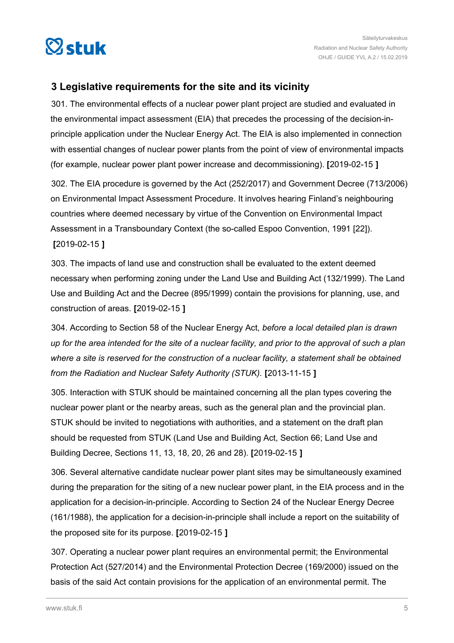<span id="page-4-0"></span>

## **3 Legislative requirements for the site and its vicinity**

301. The environmental effects of a nuclear power plant project are studied and evaluated in the environmental impact assessment (EIA) that precedes the processing of the decision-inprinciple application under the Nuclear Energy Act. The EIA is also implemented in connection with essential changes of nuclear power plants from the point of view of environmental impacts (for example, nuclear power plant power increase and decommissioning). **[**2019-02-15 **]**

302. The EIA procedure is governed by the Act (252/2017) and Government Decree (713/2006) on Environmental Impact Assessment Procedure. It involves hearing Finland's neighbouring countries where deemed necessary by virtue of the Convention on Environmental Impact Assessment in a Transboundary Context (the so-called Espoo Convention, 1991 [22]). **[**2019-02-15 **]**

303. The impacts of land use and construction shall be evaluated to the extent deemed necessary when performing zoning under the Land Use and Building Act (132/1999). The Land Use and Building Act and the Decree (895/1999) contain the provisions for planning, use, and construction of areas. **[**2019-02-15 **]**

304. According to Section 58 of the Nuclear Energy Act, *before a local detailed plan is drawn up for the area intended for the site of a nuclear facility, and prior to the approval of such a plan where a site is reserved for the construction of a nuclear facility, a statement shall be obtained from the Radiation and Nuclear Safety Authority (STUK).* **[**2013-11-15 **]**

305. Interaction with STUK should be maintained concerning all the plan types covering the nuclear power plant or the nearby areas, such as the general plan and the provincial plan. STUK should be invited to negotiations with authorities, and a statement on the draft plan should be requested from STUK (Land Use and Building Act, Section 66; Land Use and Building Decree, Sections 11, 13, 18, 20, 26 and 28). **[**2019-02-15 **]**

306. Several alternative candidate nuclear power plant sites may be simultaneously examined during the preparation for the siting of a new nuclear power plant, in the EIA process and in the application for a decision-in-principle. According to Section 24 of the Nuclear Energy Decree (161/1988), the application for a decision-in-principle shall include a report on the suitability of the proposed site for its purpose. **[**2019-02-15 **]**

307. Operating a nuclear power plant requires an environmental permit; the Environmental Protection Act (527/2014) and the Environmental Protection Decree (169/2000) issued on the basis of the said Act contain provisions for the application of an environmental permit. The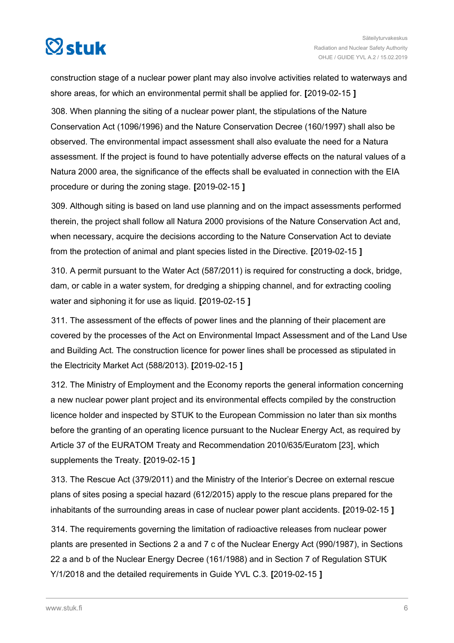

construction stage of a nuclear power plant may also involve activities related to waterways and shore areas, for which an environmental permit shall be applied for. **[**2019-02-15 **]** 308. When planning the siting of a nuclear power plant, the stipulations of the Nature Conservation Act (1096/1996) and the Nature Conservation Decree (160/1997) shall also be

observed. The environmental impact assessment shall also evaluate the need for a Natura assessment. If the project is found to have potentially adverse effects on the natural values of a Natura 2000 area, the significance of the effects shall be evaluated in connection with the EIA procedure or during the zoning stage. **[**2019-02-15 **]**

309. Although siting is based on land use planning and on the impact assessments performed therein, the project shall follow all Natura 2000 provisions of the Nature Conservation Act and, when necessary, acquire the decisions according to the Nature Conservation Act to deviate from the protection of animal and plant species listed in the Directive. **[**2019-02-15 **]**

310. A permit pursuant to the Water Act (587/2011) is required for constructing a dock, bridge, dam, or cable in a water system, for dredging a shipping channel, and for extracting cooling water and siphoning it for use as liquid. **[**2019-02-15 **]**

311. The assessment of the effects of power lines and the planning of their placement are covered by the processes of the Act on Environmental Impact Assessment and of the Land Use and Building Act. The construction licence for power lines shall be processed as stipulated in the Electricity Market Act (588/2013). **[**2019-02-15 **]**

312. The Ministry of Employment and the Economy reports the general information concerning a new nuclear power plant project and its environmental effects compiled by the construction licence holder and inspected by STUK to the European Commission no later than six months before the granting of an operating licence pursuant to the Nuclear Energy Act, as required by Article 37 of the EURATOM Treaty and Recommendation 2010/635/Euratom [23], which supplements the Treaty. **[**2019-02-15 **]**

313. The Rescue Act (379/2011) and the Ministry of the Interior's Decree on external rescue plans of sites posing a special hazard (612/2015) apply to the rescue plans prepared for the inhabitants of the surrounding areas in case of nuclear power plant accidents. **[**2019-02-15 **]**

314. The requirements governing the limitation of radioactive releases from nuclear power plants are presented in Sections 2 a and 7 c of the Nuclear Energy Act (990/1987), in Sections 22 a and b of the Nuclear Energy Decree (161/1988) and in Section 7 of Regulation STUK Y/1/2018 and the detailed requirements in Guide YVL C.3. **[**2019-02-15 **]**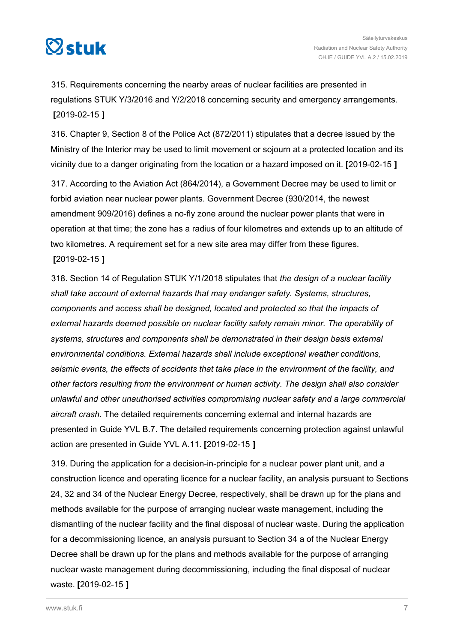

315. Requirements concerning the nearby areas of nuclear facilities are presented in regulations STUK Y/3/2016 and Y/2/2018 concerning security and emergency arrangements. **[**2019-02-15 **]**

316. Chapter 9, Section 8 of the Police Act (872/2011) stipulates that a decree issued by the Ministry of the Interior may be used to limit movement or sojourn at a protected location and its vicinity due to a danger originating from the location or a hazard imposed on it. **[**2019-02-15 **]**

317. According to the Aviation Act (864/2014), a Government Decree may be used to limit or forbid aviation near nuclear power plants. Government Decree (930/2014, the newest amendment 909/2016) defines a no-fly zone around the nuclear power plants that were in operation at that time; the zone has a radius of four kilometres and extends up to an altitude of two kilometres. A requirement set for a new site area may differ from these figures. **[**2019-02-15 **]**

318. Section 14 of Regulation STUK Y/1/2018 stipulates that *the design of a nuclear facility shall take account of external hazards that may endanger safety. Systems, structures, components and access shall be designed, located and protected so that the impacts of external hazards deemed possible on nuclear facility safety remain minor. The operability of systems, structures and components shall be demonstrated in their design basis external environmental conditions. External hazards shall include exceptional weather conditions, seismic events, the effects of accidents that take place in the environment of the facility, and other factors resulting from the environment or human activity. The design shall also consider unlawful and other unauthorised activities compromising nuclear safety and a large commercial aircraft crash*. The detailed requirements concerning external and internal hazards are presented in Guide YVL B.7. The detailed requirements concerning protection against unlawful action are presented in Guide YVL A.11. **[**2019-02-15 **]**

319. During the application for a decision-in-principle for a nuclear power plant unit, and a construction licence and operating licence for a nuclear facility, an analysis pursuant to Sections 24, 32 and 34 of the Nuclear Energy Decree, respectively, shall be drawn up for the plans and methods available for the purpose of arranging nuclear waste management, including the dismantling of the nuclear facility and the final disposal of nuclear waste. During the application for a decommissioning licence, an analysis pursuant to Section 34 a of the Nuclear Energy Decree shall be drawn up for the plans and methods available for the purpose of arranging nuclear waste management during decommissioning, including the final disposal of nuclear waste. **[**2019-02-15 **]**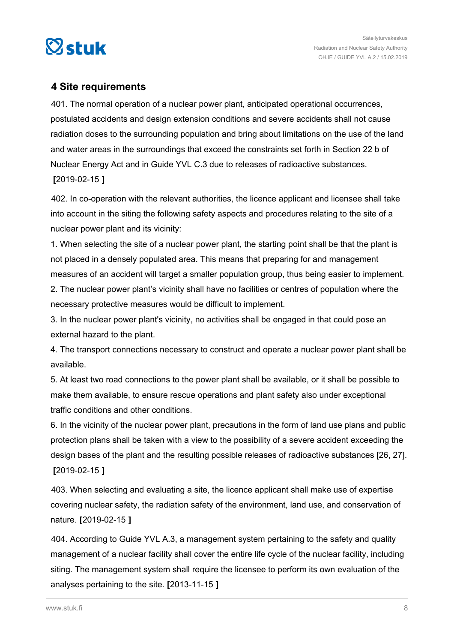<span id="page-7-0"></span>

### **4 Site requirements**

401. The normal operation of a nuclear power plant, anticipated operational occurrences, postulated accidents and design extension conditions and severe accidents shall not cause radiation doses to the surrounding population and bring about limitations on the use of the land and water areas in the surroundings that exceed the constraints set forth in Section 22 b of Nuclear Energy Act and in Guide YVL C.3 due to releases of radioactive substances. **[**2019-02-15 **]**

402. In co-operation with the relevant authorities, the licence applicant and licensee shall take into account in the siting the following safety aspects and procedures relating to the site of a nuclear power plant and its vicinity:

1. When selecting the site of a nuclear power plant, the starting point shall be that the plant is not placed in a densely populated area. This means that preparing for and management measures of an accident will target a smaller population group, thus being easier to implement.

2. The nuclear power plant's vicinity shall have no facilities or centres of population where the necessary protective measures would be difficult to implement.

3. In the nuclear power plant's vicinity, no activities shall be engaged in that could pose an external hazard to the plant.

4. The transport connections necessary to construct and operate a nuclear power plant shall be available.

5. At least two road connections to the power plant shall be available, or it shall be possible to make them available, to ensure rescue operations and plant safety also under exceptional traffic conditions and other conditions.

6. In the vicinity of the nuclear power plant, precautions in the form of land use plans and public protection plans shall be taken with a view to the possibility of a severe accident exceeding the design bases of the plant and the resulting possible releases of radioactive substances [26, 27]. **[**2019-02-15 **]**

403. When selecting and evaluating a site, the licence applicant shall make use of expertise covering nuclear safety, the radiation safety of the environment, land use, and conservation of nature. **[**2019-02-15 **]**

404. According to Guide YVL A.3, a management system pertaining to the safety and quality management of a nuclear facility shall cover the entire life cycle of the nuclear facility, including siting. The management system shall require the licensee to perform its own evaluation of the analyses pertaining to the site. **[**2013-11-15 **]**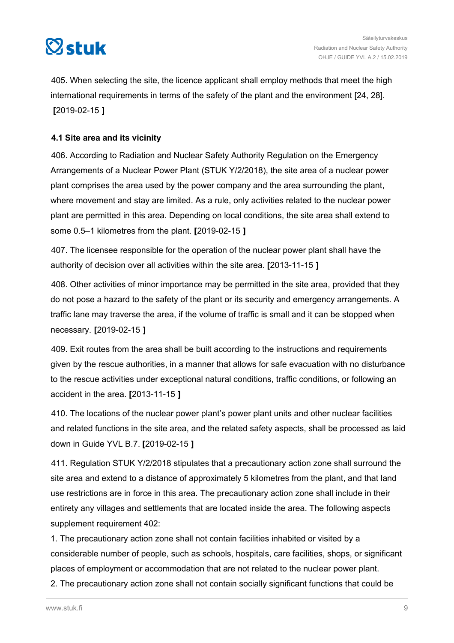<span id="page-8-0"></span>

405. When selecting the site, the licence applicant shall employ methods that meet the high international requirements in terms of the safety of the plant and the environment [24, 28]. **[**2019-02-15 **]**

#### **4.1 Site area and its vicinity**

406. According to Radiation and Nuclear Safety Authority Regulation on the Emergency Arrangements of a Nuclear Power Plant (STUK Y/2/2018), the site area of a nuclear power plant comprises the area used by the power company and the area surrounding the plant, where movement and stay are limited. As a rule, only activities related to the nuclear power plant are permitted in this area. Depending on local conditions, the site area shall extend to some 0.5–1 kilometres from the plant. **[**2019-02-15 **]**

407. The licensee responsible for the operation of the nuclear power plant shall have the authority of decision over all activities within the site area. **[**2013-11-15 **]**

408. Other activities of minor importance may be permitted in the site area, provided that they do not pose a hazard to the safety of the plant or its security and emergency arrangements. A traffic lane may traverse the area, if the volume of traffic is small and it can be stopped when necessary. **[**2019-02-15 **]**

409. Exit routes from the area shall be built according to the instructions and requirements given by the rescue authorities, in a manner that allows for safe evacuation with no disturbance to the rescue activities under exceptional natural conditions, traffic conditions, or following an accident in the area. **[**2013-11-15 **]**

410. The locations of the nuclear power plant's power plant units and other nuclear facilities and related functions in the site area, and the related safety aspects, shall be processed as laid down in Guide YVL B.7. **[**2019-02-15 **]**

411. Regulation STUK Y/2/2018 stipulates that a precautionary action zone shall surround the site area and extend to a distance of approximately 5 kilometres from the plant, and that land use restrictions are in force in this area. The precautionary action zone shall include in their entirety any villages and settlements that are located inside the area. The following aspects supplement requirement 402:

1. The precautionary action zone shall not contain facilities inhabited or visited by a considerable number of people, such as schools, hospitals, care facilities, shops, or significant places of employment or accommodation that are not related to the nuclear power plant.

2. The precautionary action zone shall not contain socially significant functions that could be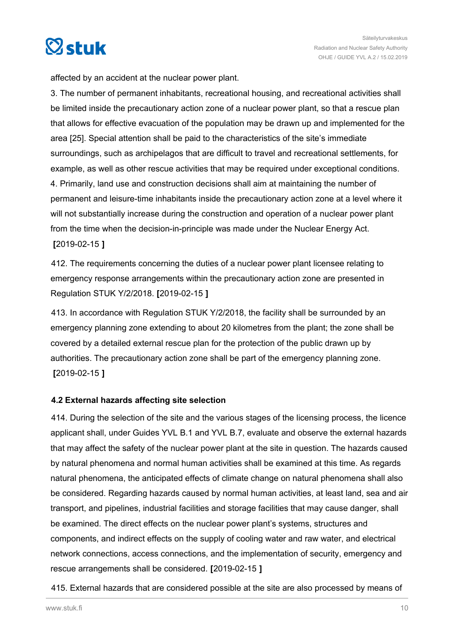<span id="page-9-0"></span>

affected by an accident at the nuclear power plant.

3. The number of permanent inhabitants, recreational housing, and recreational activities shall be limited inside the precautionary action zone of a nuclear power plant, so that a rescue plan that allows for effective evacuation of the population may be drawn up and implemented for the area [25]. Special attention shall be paid to the characteristics of the site's immediate surroundings, such as archipelagos that are difficult to travel and recreational settlements, for example, as well as other rescue activities that may be required under exceptional conditions. 4. Primarily, land use and construction decisions shall aim at maintaining the number of permanent and leisure-time inhabitants inside the precautionary action zone at a level where it will not substantially increase during the construction and operation of a nuclear power plant from the time when the decision-in-principle was made under the Nuclear Energy Act. **[**2019-02-15 **]**

412. The requirements concerning the duties of a nuclear power plant licensee relating to emergency response arrangements within the precautionary action zone are presented in Regulation STUK Y/2/2018. **[**2019-02-15 **]**

413. In accordance with Regulation STUK Y/2/2018, the facility shall be surrounded by an emergency planning zone extending to about 20 kilometres from the plant; the zone shall be covered by a detailed external rescue plan for the protection of the public drawn up by authorities. The precautionary action zone shall be part of the emergency planning zone. **[**2019-02-15 **]**

#### **4.2 External hazards affecting site selection**

414. During the selection of the site and the various stages of the licensing process, the licence applicant shall, under Guides YVL B.1 and YVL B.7, evaluate and observe the external hazards that may affect the safety of the nuclear power plant at the site in question. The hazards caused by natural phenomena and normal human activities shall be examined at this time. As regards natural phenomena, the anticipated effects of climate change on natural phenomena shall also be considered. Regarding hazards caused by normal human activities, at least land, sea and air transport, and pipelines, industrial facilities and storage facilities that may cause danger, shall be examined. The direct effects on the nuclear power plant's systems, structures and components, and indirect effects on the supply of cooling water and raw water, and electrical network connections, access connections, and the implementation of security, emergency and rescue arrangements shall be considered. **[**2019-02-15 **]**

415. External hazards that are considered possible at the site are also processed by means of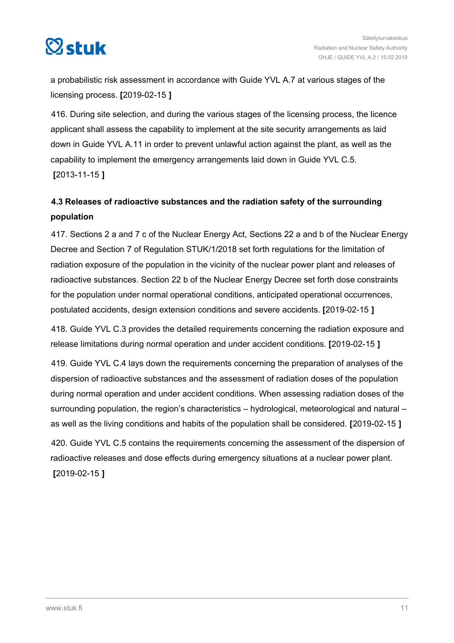<span id="page-10-0"></span>

a probabilistic risk assessment in accordance with Guide YVL A.7 at various stages of the licensing process. **[**2019-02-15 **]**

416. During site selection, and during the various stages of the licensing process, the licence applicant shall assess the capability to implement at the site security arrangements as laid down in Guide YVL A.11 in order to prevent unlawful action against the plant, as well as the capability to implement the emergency arrangements laid down in Guide YVL C.5. **[**2013-11-15 **]**

# **4.3 Releases of radioactive substances and the radiation safety of the surrounding population**

417. Sections 2 a and 7 c of the Nuclear Energy Act, Sections 22 a and b of the Nuclear Energy Decree and Section 7 of Regulation STUK/1/2018 set forth regulations for the limitation of radiation exposure of the population in the vicinity of the nuclear power plant and releases of radioactive substances. Section 22 b of the Nuclear Energy Decree set forth dose constraints for the population under normal operational conditions, anticipated operational occurrences, postulated accidents, design extension conditions and severe accidents. **[**2019-02-15 **]**

418. Guide YVL C.3 provides the detailed requirements concerning the radiation exposure and release limitations during normal operation and under accident conditions. **[**2019-02-15 **]**

419. Guide YVL C.4 lays down the requirements concerning the preparation of analyses of the dispersion of radioactive substances and the assessment of radiation doses of the population during normal operation and under accident conditions. When assessing radiation doses of the surrounding population, the region's characteristics – hydrological, meteorological and natural – as well as the living conditions and habits of the population shall be considered. **[**2019-02-15 **]**

420. Guide YVL C.5 contains the requirements concerning the assessment of the dispersion of radioactive releases and dose effects during emergency situations at a nuclear power plant. **[**2019-02-15 **]**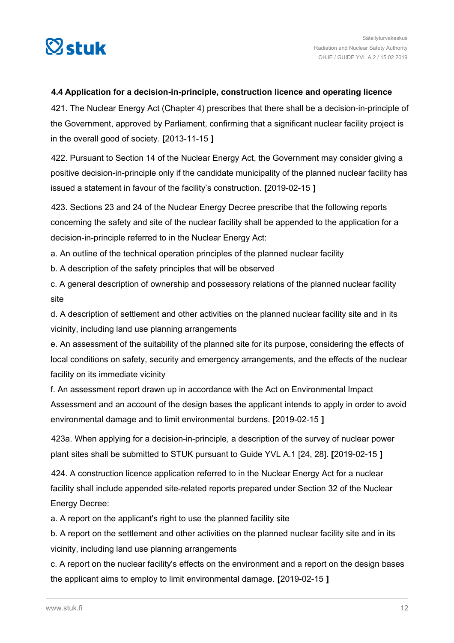<span id="page-11-0"></span>

#### **4.4 Application for a decision-in-principle, construction licence and operating licence**

421. The Nuclear Energy Act (Chapter 4) prescribes that there shall be a decision-in-principle of the Government, approved by Parliament, confirming that a significant nuclear facility project is in the overall good of society. **[**2013-11-15 **]**

422. Pursuant to Section 14 of the Nuclear Energy Act, the Government may consider giving a positive decision-in-principle only if the candidate municipality of the planned nuclear facility has issued a statement in favour of the facility's construction. **[**2019-02-15 **]**

423. Sections 23 and 24 of the Nuclear Energy Decree prescribe that the following reports concerning the safety and site of the nuclear facility shall be appended to the application for a decision-in-principle referred to in the Nuclear Energy Act:

a. An outline of the technical operation principles of the planned nuclear facility

b. A description of the safety principles that will be observed

c. A general description of ownership and possessory relations of the planned nuclear facility site

d. A description of settlement and other activities on the planned nuclear facility site and in its vicinity, including land use planning arrangements

e. An assessment of the suitability of the planned site for its purpose, considering the effects of local conditions on safety, security and emergency arrangements, and the effects of the nuclear facility on its immediate vicinity

f. An assessment report drawn up in accordance with the Act on Environmental Impact Assessment and an account of the design bases the applicant intends to apply in order to avoid environmental damage and to limit environmental burdens. **[**2019-02-15 **]**

423a. When applying for a decision-in-principle, a description of the survey of nuclear power plant sites shall be submitted to STUK pursuant to Guide YVL A.1 [24, 28]. **[**2019-02-15 **]**

424. A construction licence application referred to in the Nuclear Energy Act for a nuclear facility shall include appended site-related reports prepared under Section 32 of the Nuclear Energy Decree:

a. A report on the applicant's right to use the planned facility site

b. A report on the settlement and other activities on the planned nuclear facility site and in its vicinity, including land use planning arrangements

c. A report on the nuclear facility's effects on the environment and a report on the design bases the applicant aims to employ to limit environmental damage. **[**2019-02-15 **]**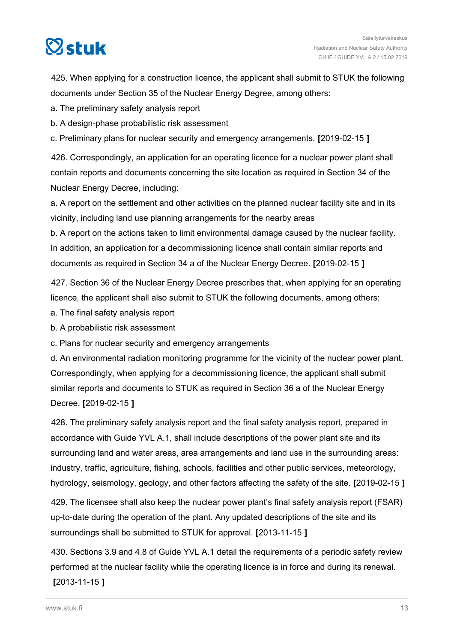

425. When applying for a construction licence, the applicant shall submit to STUK the following documents under Section 35 of the Nuclear Energy Degree, among others:

a. The preliminary safety analysis report

b. A design-phase probabilistic risk assessment

c. Preliminary plans for nuclear security and emergency arrangements. **[**2019-02-15 **]**

426. Correspondingly, an application for an operating licence for a nuclear power plant shall contain reports and documents concerning the site location as required in Section 34 of the Nuclear Energy Decree, including:

a. A report on the settlement and other activities on the planned nuclear facility site and in its vicinity, including land use planning arrangements for the nearby areas

b. A report on the actions taken to limit environmental damage caused by the nuclear facility. In addition, an application for a decommissioning licence shall contain similar reports and documents as required in Section 34 a of the Nuclear Energy Decree. **[**2019-02-15 **]**

427. Section 36 of the Nuclear Energy Decree prescribes that, when applying for an operating licence, the applicant shall also submit to STUK the following documents, among others:

a. The final safety analysis report

b. A probabilistic risk assessment

c. Plans for nuclear security and emergency arrangements

d. An environmental radiation monitoring programme for the vicinity of the nuclear power plant. Correspondingly, when applying for a decommissioning licence, the applicant shall submit similar reports and documents to STUK as required in Section 36 a of the Nuclear Energy Decree. **[**2019-02-15 **]**

428. The preliminary safety analysis report and the final safety analysis report, prepared in accordance with Guide YVL A.1, shall include descriptions of the power plant site and its surrounding land and water areas, area arrangements and land use in the surrounding areas: industry, traffic, agriculture, fishing, schools, facilities and other public services, meteorology, hydrology, seismology, geology, and other factors affecting the safety of the site. **[**2019-02-15 **]**

429. The licensee shall also keep the nuclear power plant's final safety analysis report (FSAR) up-to-date during the operation of the plant. Any updated descriptions of the site and its surroundings shall be submitted to STUK for approval. **[**2013-11-15 **]**

430. Sections 3.9 and 4.8 of Guide YVL A.1 detail the requirements of a periodic safety review performed at the nuclear facility while the operating licence is in force and during its renewal.

**[**2013-11-15 **]**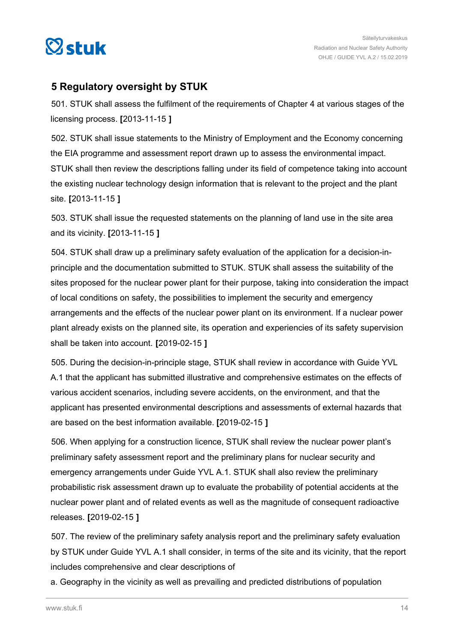<span id="page-13-0"></span>

## **5 Regulatory oversight by STUK**

501. STUK shall assess the fulfilment of the requirements of Chapter 4 at various stages of the licensing process. **[**2013-11-15 **]**

502. STUK shall issue statements to the Ministry of Employment and the Economy concerning the EIA programme and assessment report drawn up to assess the environmental impact. STUK shall then review the descriptions falling under its field of competence taking into account the existing nuclear technology design information that is relevant to the project and the plant site. **[**2013-11-15 **]**

503. STUK shall issue the requested statements on the planning of land use in the site area and its vicinity. **[**2013-11-15 **]**

504. STUK shall draw up a preliminary safety evaluation of the application for a decision-inprinciple and the documentation submitted to STUK. STUK shall assess the suitability of the sites proposed for the nuclear power plant for their purpose, taking into consideration the impact of local conditions on safety, the possibilities to implement the security and emergency arrangements and the effects of the nuclear power plant on its environment. If a nuclear power plant already exists on the planned site, its operation and experiencies of its safety supervision shall be taken into account. **[**2019-02-15 **]**

505. During the decision-in-principle stage, STUK shall review in accordance with Guide YVL A.1 that the applicant has submitted illustrative and comprehensive estimates on the effects of various accident scenarios, including severe accidents, on the environment, and that the applicant has presented environmental descriptions and assessments of external hazards that are based on the best information available. **[**2019-02-15 **]**

506. When applying for a construction licence, STUK shall review the nuclear power plant's preliminary safety assessment report and the preliminary plans for nuclear security and emergency arrangements under Guide YVL A.1. STUK shall also review the preliminary probabilistic risk assessment drawn up to evaluate the probability of potential accidents at the nuclear power plant and of related events as well as the magnitude of consequent radioactive releases. **[**2019-02-15 **]**

507. The review of the preliminary safety analysis report and the preliminary safety evaluation by STUK under Guide YVL A.1 shall consider, in terms of the site and its vicinity, that the report includes comprehensive and clear descriptions of

a. Geography in the vicinity as well as prevailing and predicted distributions of population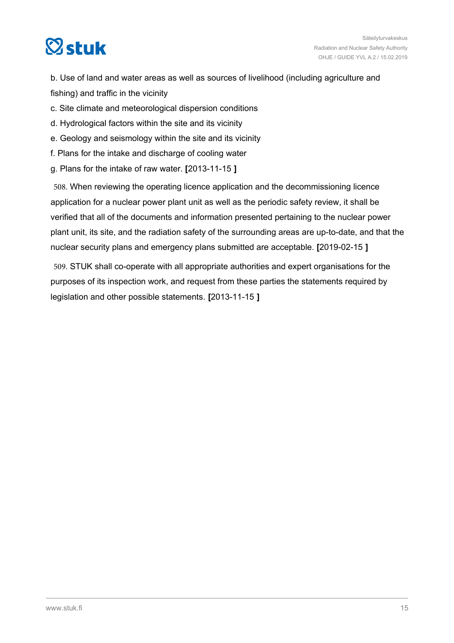

b. Use of land and water areas as well as sources of livelihood (including agriculture and fishing) and traffic in the vicinity

- c. Site climate and meteorological dispersion conditions
- d. Hydrological factors within the site and its vicinity
- e. Geology and seismology within the site and its vicinity
- f. Plans for the intake and discharge of cooling water
- g. Plans for the intake of raw water. **[**2013-11-15 **]**

508. When reviewing the operating licence application and the decommissioning licence application for a nuclear power plant unit as well as the periodic safety review, it shall be verified that all of the documents and information presented pertaining to the nuclear power plant unit, its site, and the radiation safety of the surrounding areas are up-to-date, and that the nuclear security plans and emergency plans submitted are acceptable. **[**2019-02-15 **]**

509. STUK shall co-operate with all appropriate authorities and expert organisations for the purposes of its inspection work, and request from these parties the statements required by legislation and other possible statements. **[**2013-11-15 **]**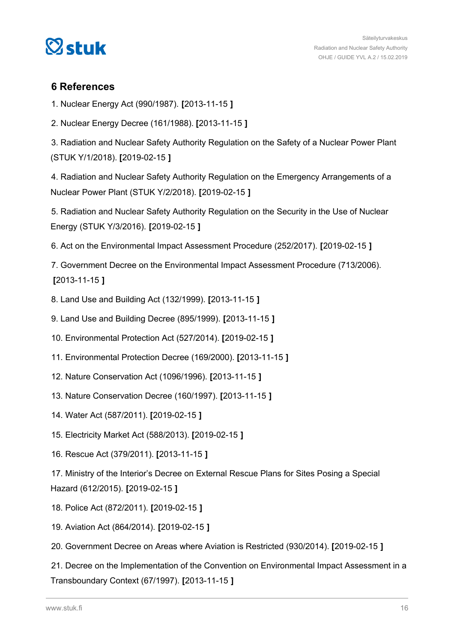<span id="page-15-0"></span>

### **6 References**

- 1. Nuclear Energy Act (990/1987). **[**2013-11-15 **]**
- 2. Nuclear Energy Decree (161/1988). **[**2013-11-15 **]**

3. Radiation and Nuclear Safety Authority Regulation on the Safety of a Nuclear Power Plant (STUK Y/1/2018). **[**2019-02-15 **]**

4. Radiation and Nuclear Safety Authority Regulation on the Emergency Arrangements of a Nuclear Power Plant (STUK Y/2/2018). **[**2019-02-15 **]**

5. Radiation and Nuclear Safety Authority Regulation on the Security in the Use of Nuclear Energy (STUK Y/3/2016). **[**2019-02-15 **]**

6. Act on the Environmental Impact Assessment Procedure (252/2017). **[**2019-02-15 **]**

7. Government Decree on the Environmental Impact Assessment Procedure (713/2006). **[**2013-11-15 **]**

- 8. Land Use and Building Act (132/1999). **[**2013-11-15 **]**
- 9. Land Use and Building Decree (895/1999). **[**2013-11-15 **]**
- 10. Environmental Protection Act (527/2014). **[**2019-02-15 **]**
- 11. Environmental Protection Decree (169/2000). **[**2013-11-15 **]**
- 12. Nature Conservation Act (1096/1996). **[**2013-11-15 **]**
- 13. Nature Conservation Decree (160/1997). **[**2013-11-15 **]**
- 14. Water Act (587/2011). **[**2019-02-15 **]**
- 15. Electricity Market Act (588/2013). **[**2019-02-15 **]**
- 16. Rescue Act (379/2011). **[**2013-11-15 **]**

17. Ministry of the Interior's Decree on External Rescue Plans for Sites Posing a Special Hazard (612/2015). **[**2019-02-15 **]**

- 18. Police Act (872/2011). **[**2019-02-15 **]**
- 19. Aviation Act (864/2014). **[**2019-02-15 **]**
- 20. Government Decree on Areas where Aviation is Restricted (930/2014). **[**2019-02-15 **]**

21. Decree on the Implementation of the Convention on Environmental Impact Assessment in a Transboundary Context (67/1997). **[**2013-11-15 **]**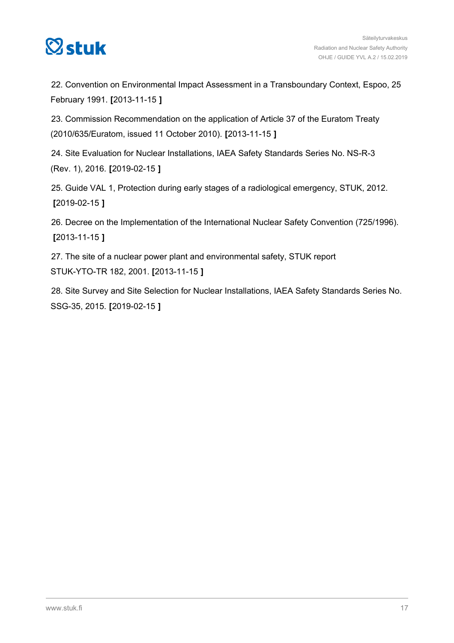

22. Convention on Environmental Impact Assessment in a Transboundary Context, Espoo, 25 February 1991. **[**2013-11-15 **]**

23. Commission Recommendation on the application of Article 37 of the Euratom Treaty (2010/635/Euratom, issued 11 October 2010). **[**2013-11-15 **]**

24. Site Evaluation for Nuclear Installations, IAEA Safety Standards Series No. NS-R-3 (Rev. 1), 2016. **[**2019-02-15 **]**

25. Guide VAL 1, Protection during early stages of a radiological emergency, STUK, 2012. **[**2019-02-15 **]**

26. Decree on the Implementation of the International Nuclear Safety Convention (725/1996). **[**2013-11-15 **]**

27. The site of a nuclear power plant and environmental safety, STUK report STUK-YTO-TR 182, 2001. **[**2013-11-15 **]**

28. Site Survey and Site Selection for Nuclear Installations, IAEA Safety Standards Series No. SSG-35, 2015. **[**2019-02-15 **]**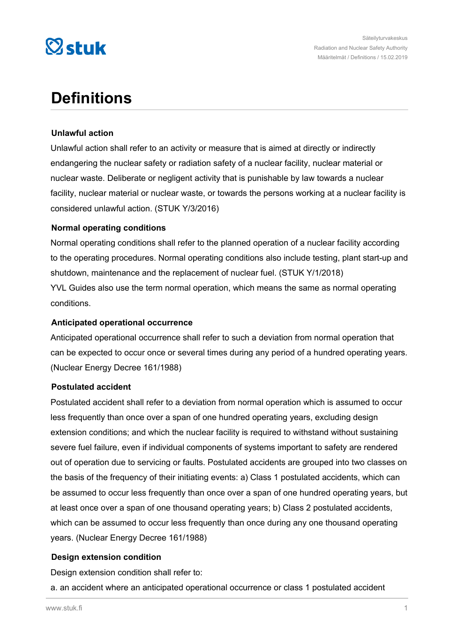

# **Definitions**

#### **Unlawful action**

Unlawful action shall refer to an activity or measure that is aimed at directly or indirectly endangering the nuclear safety or radiation safety of a nuclear facility, nuclear material or nuclear waste. Deliberate or negligent activity that is punishable by law towards a nuclear facility, nuclear material or nuclear waste, or towards the persons working at a nuclear facility is considered unlawful action. (STUK Y/3/2016)

#### **Normal operating conditions**

Normal operating conditions shall refer to the planned operation of a nuclear facility according to the operating procedures. Normal operating conditions also include testing, plant start-up and shutdown, maintenance and the replacement of nuclear fuel. (STUK Y/1/2018) YVL Guides also use the term normal operation, which means the same as normal operating conditions.

#### **Anticipated operational occurrence**

Anticipated operational occurrence shall refer to such a deviation from normal operation that can be expected to occur once or several times during any period of a hundred operating years. (Nuclear Energy Decree 161/1988)

#### **Postulated accident**

Postulated accident shall refer to a deviation from normal operation which is assumed to occur less frequently than once over a span of one hundred operating years, excluding design extension conditions; and which the nuclear facility is required to withstand without sustaining severe fuel failure, even if individual components of systems important to safety are rendered out of operation due to servicing or faults. Postulated accidents are grouped into two classes on the basis of the frequency of their initiating events: a) Class 1 postulated accidents, which can be assumed to occur less frequently than once over a span of one hundred operating years, but at least once over a span of one thousand operating years; b) Class 2 postulated accidents, which can be assumed to occur less frequently than once during any one thousand operating years. (Nuclear Energy Decree 161/1988)

#### **Design extension condition**

Design extension condition shall refer to:

a. an accident where an anticipated operational occurrence or class 1 postulated accident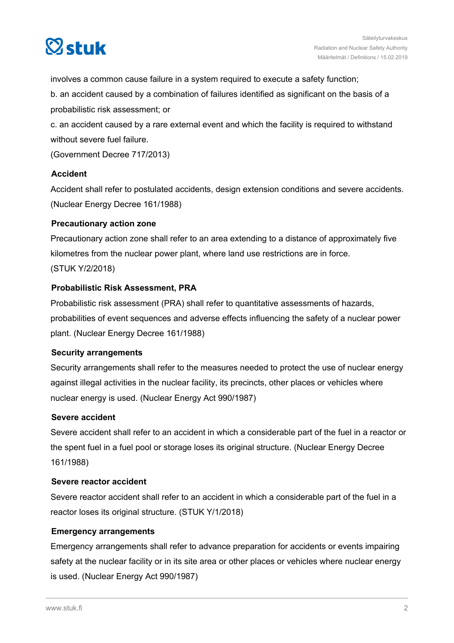

involves a common cause failure in a system required to execute a safety function;

b. an accident caused by a combination of failures identified as significant on the basis of a probabilistic risk assessment; or

c. an accident caused by a rare external event and which the facility is required to withstand without severe fuel failure.

(Government Decree 717/2013)

#### **Accident**

Accident shall refer to postulated accidents, design extension conditions and severe accidents. (Nuclear Energy Decree 161/1988)

#### **Precautionary action zone**

Precautionary action zone shall refer to an area extending to a distance of approximately five kilometres from the nuclear power plant, where land use restrictions are in force.

(STUK Y/2/2018)

#### **Probabilistic Risk Assessment, PRA**

Probabilistic risk assessment (PRA) shall refer to quantitative assessments of hazards, probabilities of event sequences and adverse effects influencing the safety of a nuclear power plant. (Nuclear Energy Decree 161/1988)

#### **Security arrangements**

Security arrangements shall refer to the measures needed to protect the use of nuclear energy against illegal activities in the nuclear facility, its precincts, other places or vehicles where nuclear energy is used. (Nuclear Energy Act 990/1987)

#### **Severe accident**

Severe accident shall refer to an accident in which a considerable part of the fuel in a reactor or the spent fuel in a fuel pool or storage loses its original structure. (Nuclear Energy Decree 161/1988)

#### **Severe reactor accident**

Severe reactor accident shall refer to an accident in which a considerable part of the fuel in a reactor loses its original structure. (STUK Y/1/2018)

#### **Emergency arrangements**

Emergency arrangements shall refer to advance preparation for accidents or events impairing safety at the nuclear facility or in its site area or other places or vehicles where nuclear energy is used. (Nuclear Energy Act 990/1987)